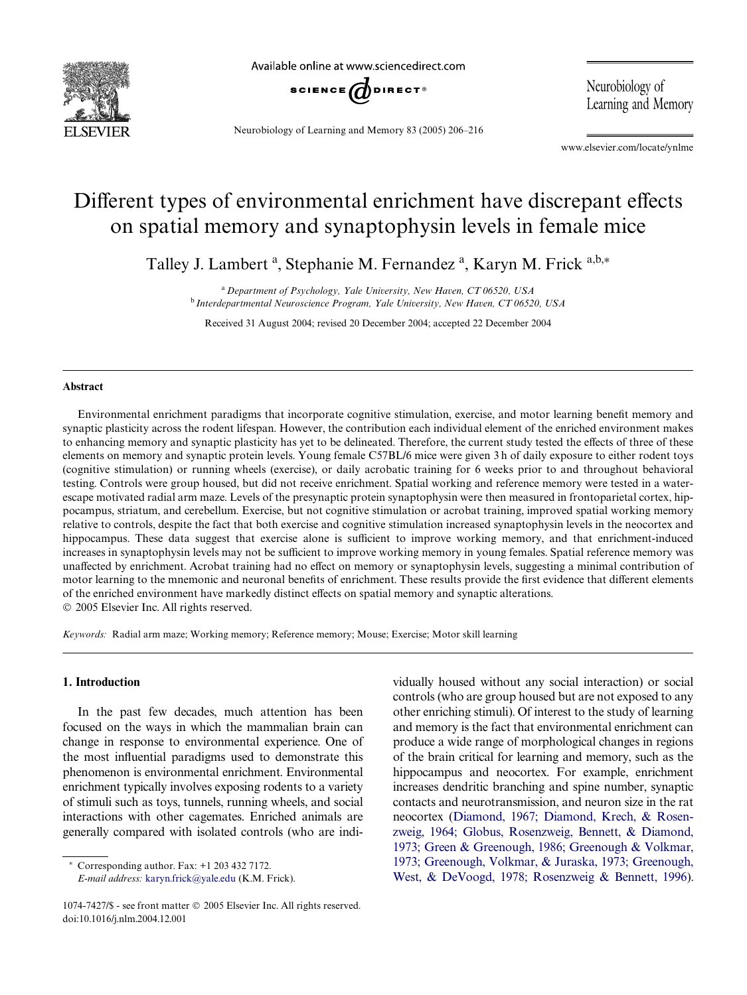

Available online at www.sciencedirect.com



Neurobiology of Learning and Memory 83 (2005) 206–216

Neurobiology of Learning and Memory

www.elsevier.com/locate/ynlme

## Different types of environmental enrichment have discrepant effects on spatial memory and synaptophysin levels in female mice

Talley J. Lambert<sup>a</sup>, Stephanie M. Fernandez<sup>a</sup>, Karyn M. Frick<sup>a,b,\*</sup>

<sup>a</sup>*Department of Psychology, Yale University, New Haven, CT 06520, USA* <sup>b</sup>*Interdepartmental Neuroscience Program, Yale University, New Haven, CT 06520, USA*

Received 31 August 2004; revised 20 December 2004; accepted 22 December 2004

## **Abstract**

Environmental enrichment paradigms that incorporate cognitive stimulation, exercise, and motor learning benefit memory and synaptic plasticity across the rodent lifespan. However, the contribution each individual element of the enriched environment makes to enhancing memory and synaptic plasticity has yet to be delineated. Therefore, the current study tested the effects of three of these elements on memory and synaptic protein levels. Young female C57BL/6 mice were given 3 h of daily exposure to either rodent toys (cognitive stimulation) or running wheels (exercise), or daily acrobatic training for 6 weeks prior to and throughout behavioral testing. Controls were group housed, but did not receive enrichment. Spatial working and reference memory were tested in a waterescape motivated radial arm maze. Levels of the presynaptic protein synaptophysin were then measured in frontoparietal cortex, hippocampus, striatum, and cerebellum. Exercise, but not cognitive stimulation or acrobat training, improved spatial working memory relative to controls, despite the fact that both exercise and cognitive stimulation increased synaptophysin levels in the neocortex and hippocampus. These data suggest that exercise alone is sufficient to improve working memory, and that enrichment-induced increases in synaptophysin levels may not be sufficient to improve working memory in young females. Spatial reference memory was unaffected by enrichment. Acrobat training had no effect on memory or synaptophysin levels, suggesting a minimal contribution of motor learning to the mnemonic and neuronal benefits of enrichment. These results provide the first evidence that different elements of the enriched environment have markedly distinct effects on spatial memory and synaptic alterations. 2005 Elsevier Inc. All rights reserved.

*Keywords:* Radial arm maze; Working memory; Reference memory; Mouse; Exercise; Motor skill learning

## **1. Introduction**

In the past few decades, much attention has been focused on the ways in which the mammalian brain can change in response to environmental experience. One of the most influential paradigms used to demonstrate this phenomenon is environmental enrichment. Environmental enrichment typically involves exposing rodents to a variety of stimuli such as toys, tunnels, running wheels, and social interactions with other cagemates. Enriched animals are generally compared with isolated controls (who are indi-

 $*$  Corresponding author. Fax:  $+1$  203 432 7172. *E-mail address:* [karyn.frick@yale.edu](mailto: karyn.frick@yale.edu) (K.M. Frick). vidually housed without any social interaction) or social controls (who are group housed but are not exposed to any other enriching stimuli). Of interest to the study of learning and memory is the fact that environmental enrichment can produce a wide range of morphological changes in regions of the brain critical for learning and memory, such as the hippocampus and neocortex. For example, enrichment increases dendritic branching and spine number, synaptic contacts and neurotransmission, and neuron size in the rat neocortex [\(Diamond, 1967; Diamond, Krech, & Rosen](#page--1-0)[zweig, 1964; Globus, Rosenzweig, Bennett, & Diamond,](#page--1-0) 1973; Green & Greenough, 1986; Greenough & Volkmar, 1973; Greenough, Volkmar, & Juraska, 1973; Greenough, [West, & DeVoogd, 1978; Rosenzweig & Bennett, 1996\)](#page--1-0).

<sup>1074-7427/\$ -</sup> see front matter © 2005 Elsevier Inc. All rights reserved. doi:10.1016/j.nlm.2004.12.001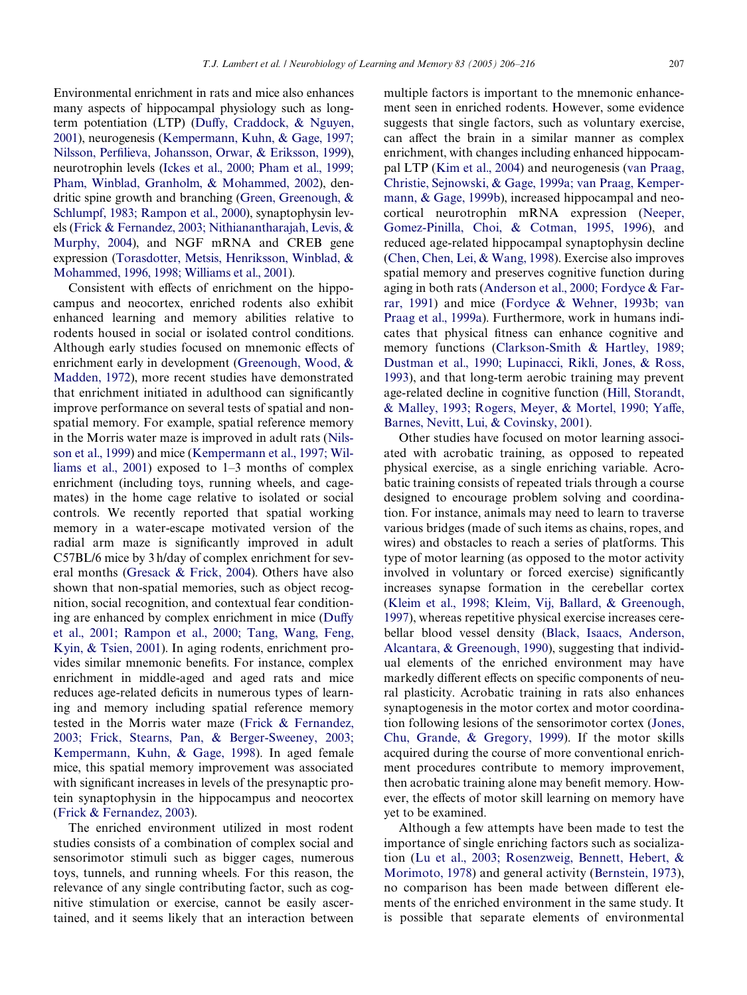Environmental enrichment in rats and mice also enhances many aspects of hippocampal physiology such as long-term potentiation (LTP) ([Du](#page--1-1)ff[y, Craddock, & Nguyen,](#page--1-1) [2001](#page--1-1)), neurogenesis ([Kempermann, Kuhn, & Gage, 1997;](#page--1-2) [Nilsson, Per](#page--1-2)fi[lieva, Johansson, Orwar, & Eriksson, 1999\)](#page--1-2), neurotrophin levels [\(Ickes et al., 2000; Pham et al., 1999;](#page--1-3) [Pham, Winblad, Granholm, & Mohammed, 2002](#page--1-3)), dendritic spine growth and branching [\(Green, Greenough, &](#page--1-4) [Schlumpf, 1983; Rampon et al., 2000\)](#page--1-4), synaptophysin levels ([Frick & Fernandez, 2003; Nithianantharajah, Levis, &](#page--1-5) [Murphy, 2004](#page--1-5)), and NGF mRNA and CREB gene expression [\(Torasdotter, Metsis, Henriksson, Winblad, &](#page--1-6) [Mohammed, 1996, 1998; Williams et al., 2001\)](#page--1-6).

Consistent with effects of enrichment on the hippocampus and neocortex, enriched rodents also exhibit enhanced learning and memory abilities relative to rodents housed in social or isolated control conditions. Although early studies focused on mnemonic effects of enrichment early in development [\(Greenough, Wood, &](#page--1-7) [Madden, 1972](#page--1-7)), more recent studies have demonstrated that enrichment initiated in adulthood can significantly improve performance on several tests of spatial and nonspatial memory. For example, spatial reference memory in the Morris water maze is improved in adult rats [\(Nils](#page--1-8)[son et al., 1999\)](#page--1-8) and mice [\(Kempermann et al., 1997; Wil](#page--1-2)[liams et al., 2001\)](#page--1-2) exposed to 1–3 months of complex enrichment (including toys, running wheels, and cagemates) in the home cage relative to isolated or social controls. We recently reported that spatial working memory in a water-escape motivated version of the radial arm maze is significantly improved in adult C57BL/6 mice by 3 h/day of complex enrichment for several months [\(Gresack & Frick, 2004](#page--1-9)). Others have also shown that non-spatial memories, such as object recognition, social recognition, and contextual fear condition-ing are enhanced by complex enrichment in mice ([Du](#page--1-1)ff[y](#page--1-1) [et al., 2001; Rampon et al., 2000; Tang, Wang, Feng,](#page--1-1) [Kyin, & Tsien, 2001\)](#page--1-1). In aging rodents, enrichment provides similar mnemonic benefits. For instance, complex enrichment in middle-aged and aged rats and mice reduces age-related deficits in numerous types of learning and memory including spatial reference memory tested in the Morris water maze ([Frick & Fernandez,](#page--1-5) [2003; Frick, Stearns, Pan, & Berger-Sweeney, 2003;](#page--1-5) [Kempermann, Kuhn, & Gage, 1998\)](#page--1-5). In aged female mice, this spatial memory improvement was associated with significant increases in levels of the presynaptic protein synaptophysin in the hippocampus and neocortex ([Frick & Fernandez, 2003\)](#page--1-5).

The enriched environment utilized in most rodent studies consists of a combination of complex social and sensorimotor stimuli such as bigger cages, numerous toys, tunnels, and running wheels. For this reason, the relevance of any single contributing factor, such as cognitive stimulation or exercise, cannot be easily ascertained, and it seems likely that an interaction between

multiple factors is important to the mnemonic enhancement seen in enriched rodents. However, some evidence suggests that single factors, such as voluntary exercise, can affect the brain in a similar manner as complex enrichment, with changes including enhanced hippocampal LTP ([Kim et al., 2004\)](#page--1-10) and neurogenesis [\(van Praag,](#page--1-11) [Christie, Sejnowski, & Gage, 1999a; van Praag, Kemper](#page--1-11)[mann, & Gage, 1999b\)](#page--1-11), increased hippocampal and neocortical neurotrophin mRNA expression ([Neeper,](#page--1-12) [Gomez-Pinilla, Choi, & Cotman, 1995, 1996](#page--1-12)), and reduced age-related hippocampal synaptophysin decline [\(Chen, Chen, Lei, & Wang, 1998\)](#page--1-13). Exercise also improves spatial memory and preserves cognitive function during aging in both rats ([Anderson et al., 2000; Fordyce & Far](#page--1-14)[rar, 1991\)](#page--1-14) and mice [\(Fordyce & Wehner, 1993b; van](#page--1-15) [Praag et al., 1999a](#page--1-15)). Furthermore, work in humans indicates that physical fitness can enhance cognitive and memory functions ([Clarkson-Smith & Hartley, 1989;](#page--1-16) [Dustman et al., 1990; Lupinacci, Rikli, Jones, & Ross,](#page--1-16) [1993](#page--1-16)), and that long-term aerobic training may prevent age-related decline in cognitive function ([Hill, Storandt,](#page--1-17) [& Malley, 1993; Rogers, Meyer, & Mortel, 1990; Ya](#page--1-17)ff[e,](#page--1-17) [Barnes, Nevitt, Lui, & Covinsky, 2001](#page--1-17)).

Other studies have focused on motor learning associated with acrobatic training, as opposed to repeated physical exercise, as a single enriching variable. Acrobatic training consists of repeated trials through a course designed to encourage problem solving and coordination. For instance, animals may need to learn to traverse various bridges (made of such items as chains, ropes, and wires) and obstacles to reach a series of platforms. This type of motor learning (as opposed to the motor activity involved in voluntary or forced exercise) significantly increases synapse formation in the cerebellar cortex [\(Kleim et al., 1998; Kleim, Vij, Ballard, & Greenough,](#page--1-18) [1997](#page--1-18)), whereas repetitive physical exercise increases cerebellar blood vessel density [\(Black, Isaacs, Anderson,](#page--1-19) [Alcantara, & Greenough, 1990](#page--1-19)), suggesting that individual elements of the enriched environment may have markedly different effects on specific components of neural plasticity. Acrobatic training in rats also enhances synaptogenesis in the motor cortex and motor coordination following lesions of the sensorimotor cortex ([Jones,](#page--1-20) [Chu, Grande, & Gregory, 1999](#page--1-20)). If the motor skills acquired during the course of more conventional enrichment procedures contribute to memory improvement, then acrobatic training alone may benefit memory. However, the effects of motor skill learning on memory have yet to be examined.

Although a few attempts have been made to test the importance of single enriching factors such as socialization ([Lu et al., 2003; Rosenzweig, Bennett, Hebert, &](#page--1-21) [Morimoto, 1978](#page--1-21)) and general activity ([Bernstein, 1973\)](#page--1-22), no comparison has been made between different elements of the enriched environment in the same study. It is possible that separate elements of environmental